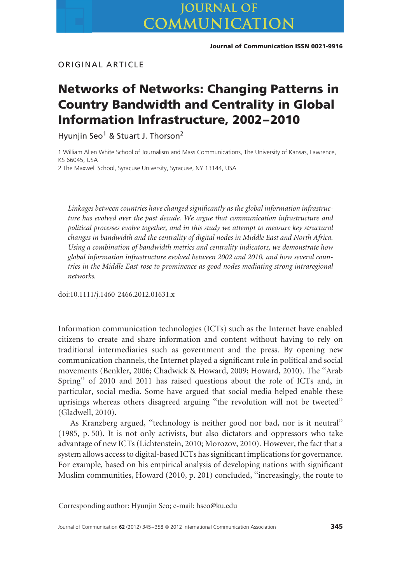### ORIGINAL ARTICLE

## **Networks of Networks: Changing Patterns in Country Bandwidth and Centrality in Global Information Infrastructure, 2002–2010**

Hyunjin Seo<sup>1</sup> & Stuart J. Thorson<sup>2</sup>

1 William Allen White School of Journalism and Mass Communications, The University of Kansas, Lawrence, KS 66045, USA

2 The Maxwell School, Syracuse University, Syracuse, NY 13144, USA

*Linkages between countries have changed significantly as the global information infrastructure has evolved over the past decade. We argue that communication infrastructure and political processes evolve together, and in this study we attempt to measure key structural changes in bandwidth and the centrality of digital nodes in Middle East and North Africa. Using a combination of bandwidth metrics and centrality indicators, we demonstrate how global information infrastructure evolved between 2002 and 2010, and how several countries in the Middle East rose to prominence as good nodes mediating strong intraregional networks.*

doi:10.1111/j.1460-2466.2012.01631.x

Information communication technologies (ICTs) such as the Internet have enabled citizens to create and share information and content without having to rely on traditional intermediaries such as government and the press. By opening new communication channels, the Internet played a significant role in political and social movements (Benkler, 2006; Chadwick & Howard, 2009; Howard, 2010). The ''Arab Spring'' of 2010 and 2011 has raised questions about the role of ICTs and, in particular, social media. Some have argued that social media helped enable these uprisings whereas others disagreed arguing ''the revolution will not be tweeted'' (Gladwell, 2010).

As Kranzberg argued, ''technology is neither good nor bad, nor is it neutral'' (1985, p. 50). It is not only activists, but also dictators and oppressors who take advantage of new ICTs (Lichtenstein, 2010; Morozov, 2010). However, the fact that a system allows access to digital-based ICTs has significant implications for governance. For example, based on his empirical analysis of developing nations with significant Muslim communities, Howard (2010, p. 201) concluded, ''increasingly, the route to

Corresponding author: Hyunjin Seo; e-mail: hseo@ku.edu

Journal of Communication **62** (2012) 345–358 © 2012 International Communication Association **345**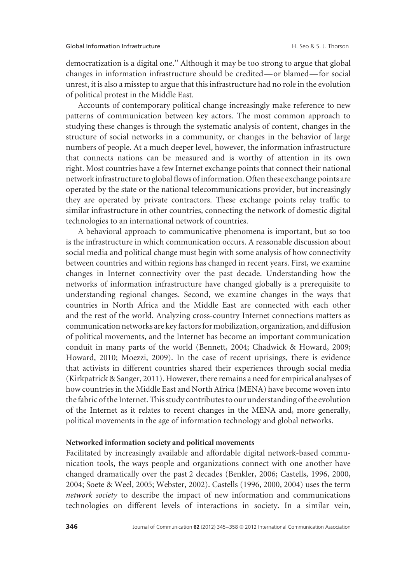democratization is a digital one.'' Although it may be too strong to argue that global changes in information infrastructure should be credited—or blamed—for social unrest, it is also a misstep to argue that this infrastructure had no role in the evolution of political protest in the Middle East.

Accounts of contemporary political change increasingly make reference to new patterns of communication between key actors. The most common approach to studying these changes is through the systematic analysis of content, changes in the structure of social networks in a community, or changes in the behavior of large numbers of people. At a much deeper level, however, the information infrastructure that connects nations can be measured and is worthy of attention in its own right. Most countries have a few Internet exchange points that connect their national network infrastructure to global flows of information. Often these exchange points are operated by the state or the national telecommunications provider, but increasingly they are operated by private contractors. These exchange points relay traffic to similar infrastructure in other countries, connecting the network of domestic digital technologies to an international network of countries.

A behavioral approach to communicative phenomena is important, but so too is the infrastructure in which communication occurs. A reasonable discussion about social media and political change must begin with some analysis of how connectivity between countries and within regions has changed in recent years. First, we examine changes in Internet connectivity over the past decade. Understanding how the networks of information infrastructure have changed globally is a prerequisite to understanding regional changes. Second, we examine changes in the ways that countries in North Africa and the Middle East are connected with each other and the rest of the world. Analyzing cross-country Internet connections matters as communication networks are keyfactorsfor mobilization, organization, and diffusion of political movements, and the Internet has become an important communication conduit in many parts of the world (Bennett, 2004; Chadwick & Howard, 2009; Howard, 2010; Moezzi, 2009). In the case of recent uprisings, there is evidence that activists in different countries shared their experiences through social media (Kirkpatrick & Sanger, 2011). However, there remains a need for empirical analyses of how countries in the Middle East and North Africa (MENA) have become woven into the fabric of the Internet. This study contributes to our understanding of the evolution of the Internet as it relates to recent changes in the MENA and, more generally, political movements in the age of information technology and global networks.

#### **Networked information society and political movements**

Facilitated by increasingly available and affordable digital network-based communication tools, the ways people and organizations connect with one another have changed dramatically over the past 2 decades (Benkler, 2006; Castells, 1996, 2000, 2004; Soete & Weel, 2005; Webster, 2002). Castells (1996, 2000, 2004) uses the term *network society* to describe the impact of new information and communications technologies on different levels of interactions in society. In a similar vein,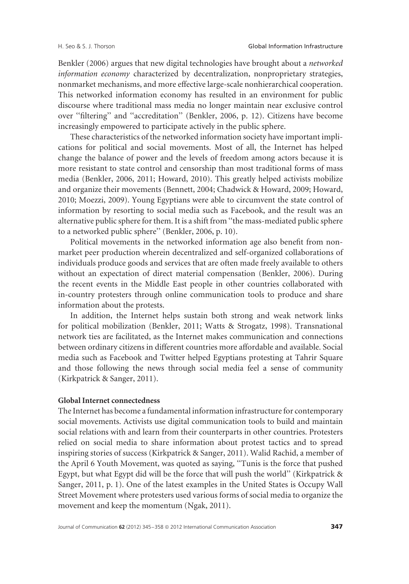Benkler (2006) argues that new digital technologies have brought about a *networked information economy* characterized by decentralization, nonproprietary strategies, nonmarket mechanisms, and more effective large-scale nonhierarchical cooperation. This networked information economy has resulted in an environment for public discourse where traditional mass media no longer maintain near exclusive control over ''filtering'' and ''accreditation'' (Benkler, 2006, p. 12). Citizens have become increasingly empowered to participate actively in the public sphere.

These characteristics of the networked information society have important implications for political and social movements. Most of all, the Internet has helped change the balance of power and the levels of freedom among actors because it is more resistant to state control and censorship than most traditional forms of mass media (Benkler, 2006, 2011; Howard, 2010). This greatly helped activists mobilize and organize their movements (Bennett, 2004; Chadwick & Howard, 2009; Howard, 2010; Moezzi, 2009). Young Egyptians were able to circumvent the state control of information by resorting to social media such as Facebook, and the result was an alternative public sphere for them. It is a shift from ''the mass-mediated public sphere to a networked public sphere'' (Benkler, 2006, p. 10).

Political movements in the networked information age also benefit from nonmarket peer production wherein decentralized and self-organized collaborations of individuals produce goods and services that are often made freely available to others without an expectation of direct material compensation (Benkler, 2006). During the recent events in the Middle East people in other countries collaborated with in-country protesters through online communication tools to produce and share information about the protests.

In addition, the Internet helps sustain both strong and weak network links for political mobilization (Benkler, 2011; Watts & Strogatz, 1998). Transnational network ties are facilitated, as the Internet makes communication and connections between ordinary citizens in different countries more affordable and available. Social media such as Facebook and Twitter helped Egyptians protesting at Tahrir Square and those following the news through social media feel a sense of community (Kirkpatrick & Sanger, 2011).

#### **Global Internet connectedness**

The Internet has become a fundamental information infrastructure for contemporary social movements. Activists use digital communication tools to build and maintain social relations with and learn from their counterparts in other countries. Protesters relied on social media to share information about protest tactics and to spread inspiring stories of success (Kirkpatrick & Sanger, 2011). Walid Rachid, a member of the April 6 Youth Movement, was quoted as saying, ''Tunis is the force that pushed Egypt, but what Egypt did will be the force that will push the world'' (Kirkpatrick & Sanger, 2011, p. 1). One of the latest examples in the United States is Occupy Wall Street Movement where protesters used various forms of social media to organize the movement and keep the momentum (Ngak, 2011).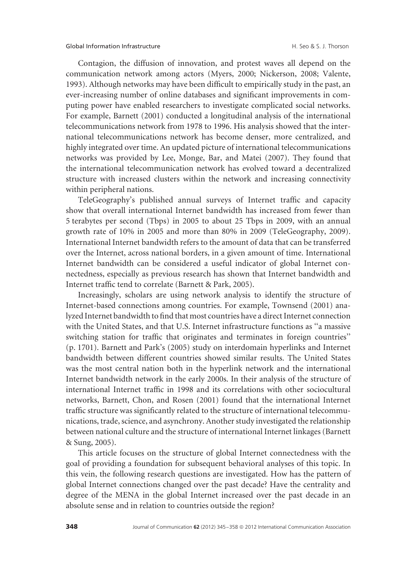Contagion, the diffusion of innovation, and protest waves all depend on the communication network among actors (Myers, 2000; Nickerson, 2008; Valente, 1993). Although networks may have been difficult to empirically study in the past, an ever-increasing number of online databases and significant improvements in computing power have enabled researchers to investigate complicated social networks. For example, Barnett (2001) conducted a longitudinal analysis of the international telecommunications network from 1978 to 1996. His analysis showed that the international telecommunications network has become denser, more centralized, and highly integrated over time. An updated picture of international telecommunications networks was provided by Lee, Monge, Bar, and Matei (2007). They found that the international telecommunication network has evolved toward a decentralized structure with increased clusters within the network and increasing connectivity within peripheral nations.

TeleGeography's published annual surveys of Internet traffic and capacity show that overall international Internet bandwidth has increased from fewer than 5 terabytes per second (Tbps) in 2005 to about 25 Tbps in 2009, with an annual growth rate of 10% in 2005 and more than 80% in 2009 (TeleGeography, 2009). International Internet bandwidth refers to the amount of data that can be transferred over the Internet, across national borders, in a given amount of time. International Internet bandwidth can be considered a useful indicator of global Internet connectedness, especially as previous research has shown that Internet bandwidth and Internet traffic tend to correlate (Barnett & Park, 2005).

Increasingly, scholars are using network analysis to identify the structure of Internet-based connections among countries. For example, Townsend (2001) analyzed Internet bandwidth to find that most countries have a direct Internet connection with the United States, and that U.S. Internet infrastructure functions as ''a massive switching station for traffic that originates and terminates in foreign countries'' (p. 1701). Barnett and Park's (2005) study on interdomain hyperlinks and Internet bandwidth between different countries showed similar results. The United States was the most central nation both in the hyperlink network and the international Internet bandwidth network in the early 2000s. In their analysis of the structure of international Internet traffic in 1998 and its correlations with other sociocultural networks, Barnett, Chon, and Rosen (2001) found that the international Internet traffic structure was significantly related to the structure of international telecommunications, trade, science, and asynchrony. Another study investigated the relationship between national culture and the structure of international Internet linkages (Barnett & Sung, 2005).

This article focuses on the structure of global Internet connectedness with the goal of providing a foundation for subsequent behavioral analyses of this topic. In this vein, the following research questions are investigated. How has the pattern of global Internet connections changed over the past decade? Have the centrality and degree of the MENA in the global Internet increased over the past decade in an absolute sense and in relation to countries outside the region?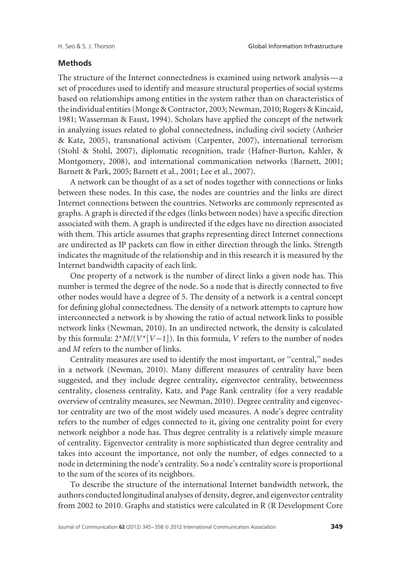#### **Methods**

The structure of the Internet connectedness is examined using network analysis—a set of procedures used to identify and measure structural properties of social systems based on relationships among entities in the system rather than on characteristics of the individual entities (Monge & Contractor, 2003; Newman, 2010; Rogers & Kincaid, 1981; Wasserman & Faust, 1994). Scholars have applied the concept of the network in analyzing issues related to global connectedness, including civil society (Anheier & Katz, 2005), transnational activism (Carpenter, 2007), international terrorism (Stohl & Stohl, 2007), diplomatic recognition, trade (Hafner-Burton, Kahler, & Montgomery, 2008), and international communication networks (Barnett, 2001; Barnett & Park, 2005; Barnett et al., 2001; Lee et al., 2007).

A network can be thought of as a set of nodes together with connections or links between these nodes. In this case, the nodes are countries and the links are direct Internet connections between the countries. Networks are commonly represented as graphs. A graph is directed if the edges (links between nodes) have a specific direction associated with them. A graph is undirected if the edges have no direction associated with them. This article assumes that graphs representing direct Internet connections are undirected as IP packets can flow in either direction through the links. Strength indicates the magnitude of the relationship and in this research it is measured by the Internet bandwidth capacity of each link.

One property of a network is the number of direct links a given node has. This number is termed the degree of the node. So a node that is directly connected to five other nodes would have a degree of 5. The density of a network is a central concept for defining global connectedness. The density of a network attempts to capture how interconnected a network is by showing the ratio of actual network links to possible network links (Newman, 2010). In an undirected network, the density is calculated by this formula: 2\**M*/(*V*\*[*V*−1]). In this formula, *V* refers to the number of nodes and *M* refers to the number of links.

Centrality measures are used to identify the most important, or ''central,'' nodes in a network (Newman, 2010). Many different measures of centrality have been suggested, and they include degree centrality, eigenvector centrality, betweenness centrality, closeness centrality, Katz, and Page Rank centrality (for a very readable overview of centrality measures, see Newman, 2010). Degree centrality and eigenvector centrality are two of the most widely used measures. A node's degree centrality refers to the number of edges connected to it, giving one centrality point for every network neighbor a node has. Thus degree centrality is a relatively simple measure of centrality. Eigenvector centrality is more sophisticated than degree centrality and takes into account the importance, not only the number, of edges connected to a node in determining the node's centrality. So a node's centrality score is proportional to the sum of the scores of its neighbors.

To describe the structure of the international Internet bandwidth network, the authors conducted longitudinal analyses of density, degree, and eigenvector centrality from 2002 to 2010. Graphs and statistics were calculated in R (R Development Core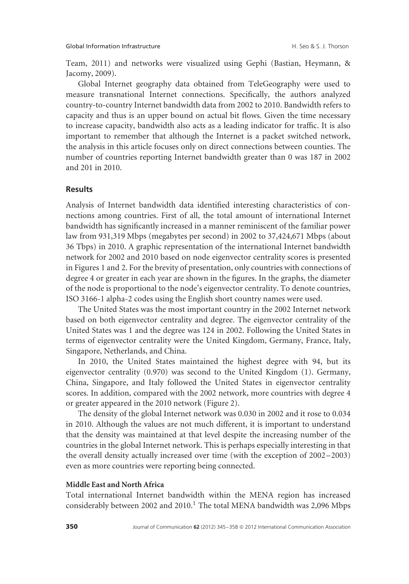Team, 2011) and networks were visualized using Gephi (Bastian, Heymann, & Jacomy, 2009).

Global Internet geography data obtained from TeleGeography were used to measure transnational Internet connections. Specifically, the authors analyzed country-to-country Internet bandwidth data from 2002 to 2010. Bandwidth refers to capacity and thus is an upper bound on actual bit flows. Given the time necessary to increase capacity, bandwidth also acts as a leading indicator for traffic. It is also important to remember that although the Internet is a packet switched network, the analysis in this article focuses only on direct connections between counties. The number of countries reporting Internet bandwidth greater than 0 was 187 in 2002 and 201 in 2010.

#### **Results**

Analysis of Internet bandwidth data identified interesting characteristics of connections among countries. First of all, the total amount of international Internet bandwidth has significantly increased in a manner reminiscent of the familiar power law from 931,319 Mbps (megabytes per second) in 2002 to 37,424,671 Mbps (about 36 Tbps) in 2010. A graphic representation of the international Internet bandwidth network for 2002 and 2010 based on node eigenvector centrality scores is presented in Figures 1 and 2. For the brevity of presentation, only countries with connections of degree 4 or greater in each year are shown in the figures. In the graphs, the diameter of the node is proportional to the node's eigenvector centrality. To denote countries, ISO 3166-1 alpha-2 codes using the English short country names were used.

The United States was the most important country in the 2002 Internet network based on both eigenvector centrality and degree. The eigenvector centrality of the United States was 1 and the degree was 124 in 2002. Following the United States in terms of eigenvector centrality were the United Kingdom, Germany, France, Italy, Singapore, Netherlands, and China.

In 2010, the United States maintained the highest degree with 94, but its eigenvector centrality (0.970) was second to the United Kingdom (1). Germany, China, Singapore, and Italy followed the United States in eigenvector centrality scores. In addition, compared with the 2002 network, more countries with degree 4 or greater appeared in the 2010 network (Figure 2).

The density of the global Internet network was 0.030 in 2002 and it rose to 0.034 in 2010. Although the values are not much different, it is important to understand that the density was maintained at that level despite the increasing number of the countries in the global Internet network. This is perhaps especially interesting in that the overall density actually increased over time (with the exception of 2002–2003) even as more countries were reporting being connected.

#### **Middle East and North Africa**

Total international Internet bandwidth within the MENA region has increased considerably between 2002 and 2010.<sup>1</sup> The total MENA bandwidth was 2,096 Mbps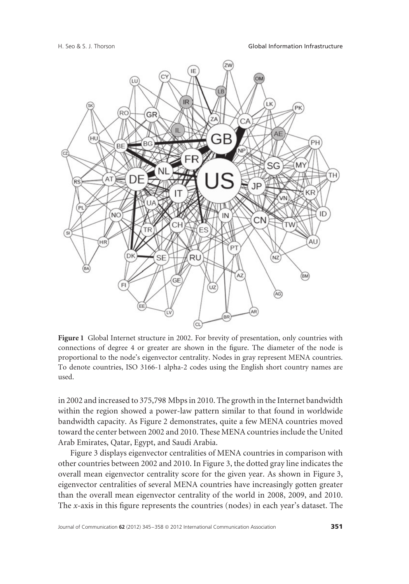

**Figure 1** Global Internet structure in 2002. For brevity of presentation, only countries with connections of degree 4 or greater are shown in the figure. The diameter of the node is proportional to the node's eigenvector centrality. Nodes in gray represent MENA countries. To denote countries, ISO 3166-1 alpha-2 codes using the English short country names are used.

in 2002 and increased to 375,798 Mbps in 2010. The growth in the Internet bandwidth within the region showed a power-law pattern similar to that found in worldwide bandwidth capacity. As Figure 2 demonstrates, quite a few MENA countries moved toward the center between 2002 and 2010. These MENA countries include the United Arab Emirates, Qatar, Egypt, and Saudi Arabia.

Figure 3 displays eigenvector centralities of MENA countries in comparison with other countries between 2002 and 2010. In Figure 3, the dotted gray line indicates the overall mean eigenvector centrality score for the given year. As shown in Figure 3, eigenvector centralities of several MENA countries have increasingly gotten greater than the overall mean eigenvector centrality of the world in 2008, 2009, and 2010. The *x*-axis in this figure represents the countries (nodes) in each year's dataset. The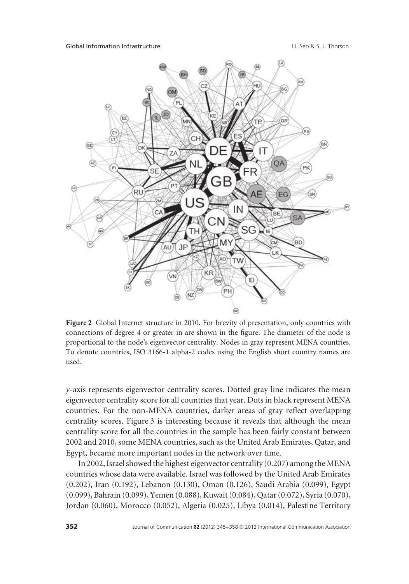Global Information Infrastructure **Here** H. Seo & S. J. Thorson



**Figure 2** Global Internet structure in 2010. For brevity of presentation, only countries with connections of degree 4 or greater in are shown in the figure. The diameter of the node is proportional to the node's eigenvector centrality. Nodes in gray represent MENA countries. To denote countries, ISO 3166-1 alpha-2 codes using the English short country names are used.

*y*-axis represents eigenvector centrality scores. Dotted gray line indicates the mean eigenvector centrality score for all countries that year. Dots in black represent MENA countries. For the non-MENA countries, darker areas of gray reflect overlapping centrality scores. Figure 3 is interesting because it reveals that although the mean centrality score for all the countries in the sample has been fairly constant between 2002 and 2010, some MENA countries, such as the United Arab Emirates, Qatar, and Egypt, became more important nodes in the network over time.

In 2002, Israel showed the highest eigenvector centrality (0.207) among the MENA countries whose data were available. Israel was followed by the United Arab Emirates (0.202), Iran (0.192), Lebanon (0.130), Oman (0.126), Saudi Arabia (0.099), Egypt (0.099), Bahrain (0.099), Yemen (0.088), Kuwait (0.084), Qatar (0.072), Syria (0.070), Jordan (0.060), Morocco (0.052), Algeria (0.025), Libya (0.014), Palestine Territory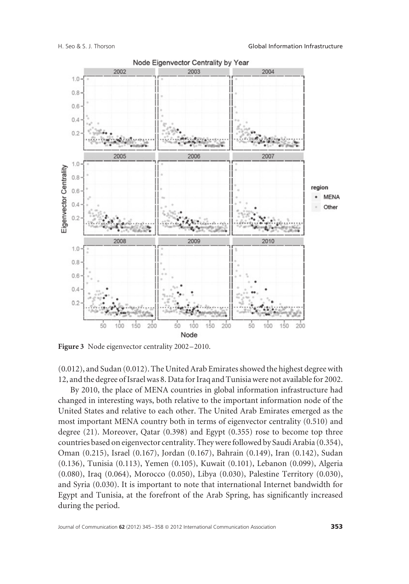

**Figure 3** Node eigenvector centrality 2002–2010.

(0.012), and Sudan (0.012). The United Arab Emirates showed the highest degree with 12, and the degree of Israel was 8. Data for Iraq and Tunisia were not available for 2002.

By 2010, the place of MENA countries in global information infrastructure had changed in interesting ways, both relative to the important information node of the United States and relative to each other. The United Arab Emirates emerged as the most important MENA country both in terms of eigenvector centrality (0.510) and degree (21). Moreover, Qatar (0.398) and Egypt (0.355) rose to become top three countries based on eigenvector centrality. They were followed by Saudi Arabia (0.354), Oman (0.215), Israel (0.167), Jordan (0.167), Bahrain (0.149), Iran (0.142), Sudan (0.136), Tunisia (0.113), Yemen (0.105), Kuwait (0.101), Lebanon (0.099), Algeria (0.080), Iraq (0.064), Morocco (0.050), Libya (0.030), Palestine Territory (0.030), and Syria (0.030). It is important to note that international Internet bandwidth for Egypt and Tunisia, at the forefront of the Arab Spring, has significantly increased during the period.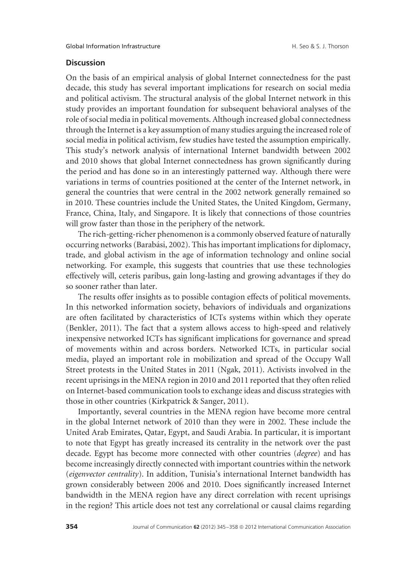#### **Discussion**

On the basis of an empirical analysis of global Internet connectedness for the past decade, this study has several important implications for research on social media and political activism. The structural analysis of the global Internet network in this study provides an important foundation for subsequent behavioral analyses of the role of social media in political movements. Although increased global connectedness through the Internet is a key assumption of many studies arguing the increased role of social media in political activism, few studies have tested the assumption empirically. This study's network analysis of international Internet bandwidth between 2002 and 2010 shows that global Internet connectedness has grown significantly during the period and has done so in an interestingly patterned way. Although there were variations in terms of countries positioned at the center of the Internet network, in general the countries that were central in the 2002 network generally remained so in 2010. These countries include the United States, the United Kingdom, Germany, France, China, Italy, and Singapore. It is likely that connections of those countries will grow faster than those in the periphery of the network.

The rich-getting-richer phenomenon is a commonly observed feature of naturally occurring networks (Barabási, 2002). This has important implications for diplomacy, trade, and global activism in the age of information technology and online social networking. For example, this suggests that countries that use these technologies effectively will, ceteris paribus, gain long-lasting and growing advantages if they do so sooner rather than later.

The results offer insights as to possible contagion effects of political movements. In this networked information society, behaviors of individuals and organizations are often facilitated by characteristics of ICTs systems within which they operate (Benkler, 2011). The fact that a system allows access to high-speed and relatively inexpensive networked ICTs has significant implications for governance and spread of movements within and across borders. Networked ICTs, in particular social media, played an important role in mobilization and spread of the Occupy Wall Street protests in the United States in 2011 (Ngak, 2011). Activists involved in the recent uprisings in the MENA region in 2010 and 2011 reported that they often relied on Internet-based communication tools to exchange ideas and discuss strategies with those in other countries (Kirkpatrick & Sanger, 2011).

Importantly, several countries in the MENA region have become more central in the global Internet network of 2010 than they were in 2002. These include the United Arab Emirates, Qatar, Egypt, and Saudi Arabia. In particular, it is important to note that Egypt has greatly increased its centrality in the network over the past decade. Egypt has become more connected with other countries (*degree*) and has become increasingly directly connected with important countries within the network (*eigenvector centrality*). In addition, Tunisia's international Internet bandwidth has grown considerably between 2006 and 2010. Does significantly increased Internet bandwidth in the MENA region have any direct correlation with recent uprisings in the region? This article does not test any correlational or causal claims regarding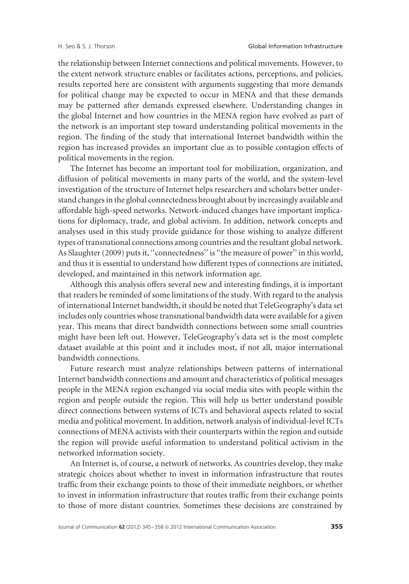the relationship between Internet connections and political movements. However, to the extent network structure enables or facilitates actions, perceptions, and policies, results reported here are consistent with arguments suggesting that more demands for political change may be expected to occur in MENA and that these demands may be patterned after demands expressed elsewhere. Understanding changes in the global Internet and how countries in the MENA region have evolved as part of the network is an important step toward understanding political movements in the region. The finding of the study that international Internet bandwidth within the region has increased provides an important clue as to possible contagion effects of political movements in the region.

The Internet has become an important tool for mobilization, organization, and diffusion of political movements in many parts of the world, and the system-level investigation of the structure of Internet helps researchers and scholars better understand changes in the global connectedness brought about by increasingly available and affordable high-speed networks. Network-induced changes have important implications for diplomacy, trade, and global activism. In addition, network concepts and analyses used in this study provide guidance for those wishing to analyze different types of transnational connections among countries and the resultant global network. As Slaughter (2009) puts it, ''connectedness'' is ''the measure of power'' in this world, and thus it is essential to understand how different types of connections are initiated, developed, and maintained in this network information age.

Although this analysis offers several new and interesting findings, it is important that readers be reminded of some limitations of the study. With regard to the analysis of international Internet bandwidth, it should be noted that TeleGeography's data set includes only countries whose transnational bandwidth data were available for a given year. This means that direct bandwidth connections between some small countries might have been left out. However, TeleGeography's data set is the most complete dataset available at this point and it includes most, if not all, major international bandwidth connections.

Future research must analyze relationships between patterns of international Internet bandwidth connections and amount and characteristics of political messages people in the MENA region exchanged via social media sites with people within the region and people outside the region. This will help us better understand possible direct connections between systems of ICTs and behavioral aspects related to social media and political movement. In addition, network analysis of individual-level ICTs connections of MENA activists with their counterparts within the region and outside the region will provide useful information to understand political activism in the networked information society.

An Internet is, of course, a network of networks. As countries develop, they make strategic choices about whether to invest in information infrastructure that routes traffic from their exchange points to those of their immediate neighbors, or whether to invest in information infrastructure that routes traffic from their exchange points to those of more distant countries. Sometimes these decisions are constrained by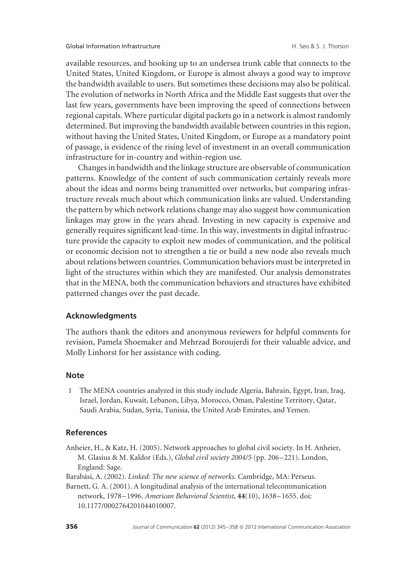available resources, and hooking up to an undersea trunk cable that connects to the United States, United Kingdom, or Europe is almost always a good way to improve the bandwidth available to users. But sometimes these decisions may also be political. The evolution of networks in North Africa and the Middle East suggests that over the last few years, governments have been improving the speed of connections between regional capitals. Where particular digital packets go in a network is almost randomly determined. But improving the bandwidth available between countries in this region, without having the United States, United Kingdom, or Europe as a mandatory point of passage, is evidence of the rising level of investment in an overall communication infrastructure for in-country and within-region use.

Changes in bandwidth and the linkage structure are observable of communication patterns. Knowledge of the content of such communication certainly reveals more about the ideas and norms being transmitted over networks, but comparing infrastructure reveals much about which communication links are valued. Understanding the pattern by which network relations change may also suggest how communication linkages may grow in the years ahead. Investing in new capacity is expensive and generally requires significant lead-time. In this way, investments in digital infrastructure provide the capacity to exploit new modes of communication, and the political or economic decision not to strengthen a tie or build a new node also reveals much about relations between countries. Communication behaviors must be interpreted in light of the structures within which they are manifested. Our analysis demonstrates that in the MENA, both the communication behaviors and structures have exhibited patterned changes over the past decade.

#### **Acknowledgments**

The authors thank the editors and anonymous reviewers for helpful comments for revision, Pamela Shoemaker and Mehrzad Boroujerdi for their valuable advice, and Molly Linhorst for her assistance with coding.

#### **Note**

1 The MENA countries analyzed in this study include Algeria, Bahrain, Egypt, Iran, Iraq, Israel, Jordan, Kuwait, Lebanon, Libya, Morocco, Oman, Palestine Territory, Qatar, Saudi Arabia, Sudan, Syria, Tunisia, the United Arab Emirates, and Yemen.

#### **References**

- Anheier, H., & Katz, H. (2005). Network approaches to global civil society. In H. Anheier, M. Glasius & M. Kaldor (Eds.), *Global civil society 2004/5* (pp. 206–221). London, England: Sage.
- Barabási, A. (2002). *Linked: The new science of networks*. Cambridge, MA: Perseus.
- Barnett, G. A. (2001). A longitudinal analysis of the international telecommunication network, 1978–1996. *American Behavioral Scientist*, **44**(10), 1638–1655. doi: 10.1177/0002764201044010007.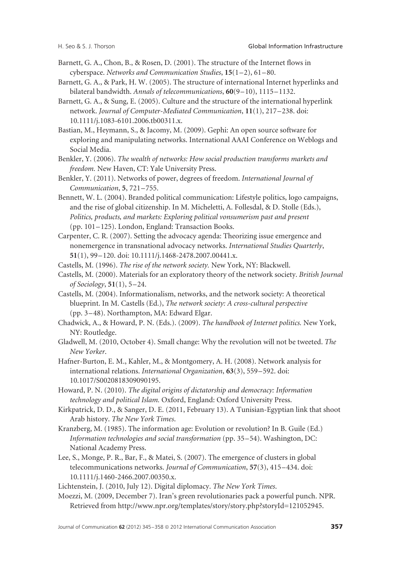- Barnett, G. A., Chon, B., & Rosen, D. (2001). The structure of the Internet flows in cyberspace. *Networks and Communication Studies*, **15**(1–2), 61–80.
- Barnett, G. A., & Park, H. W. (2005). The structure of international Internet hyperlinks and bilateral bandwidth. *Annals of telecommunications*, **60**(9–10), 1115–1132.
- Barnett, G. A., & Sung, E. (2005). Culture and the structure of the international hyperlink network. *Journal of Computer-Mediated Communication*, **11**(1), 217–238. doi: 10.1111/j.1083-6101.2006.tb00311.x.
- Bastian, M., Heymann, S., & Jacomy, M. (2009). Gephi: An open source software for exploring and manipulating networks. International AAAI Conference on Weblogs and Social Media.
- Benkler, Y. (2006). *The wealth of networks: How social production transforms markets and freedom.* New Haven, CT: Yale University Press.
- Benkler, Y. (2011). Networks of power, degrees of freedom. *International Journal of Communication*, **5**, 721–755.
- Bennett, W. L. (2004). Branded political communication: Lifestyle politics, logo campaigns, and the rise of global citizenship. In M. Micheletti, A. Follesdal, & D. Stolle (Eds.), *Politics, products, and markets: Exploring political vonsumerism past and present* (pp. 101–125). London, England: Transaction Books.
- Carpenter, C. R. (2007). Setting the advocacy agenda: Theorizing issue emergence and nonemergence in transnational advocacy networks. *International Studies Quarterly*, **51**(1), 99–120. doi: 10.1111/j.1468-2478.2007.00441.x.
- Castells, M. (1996). *The rise of the network society.* New York, NY: Blackwell.
- Castells, M. (2000). Materials for an exploratory theory of the network society. *British Journal of Sociology*, **51**(1), 5–24.
- Castells, M. (2004). Informationalism, networks, and the network society: A theoretical blueprint. In M. Castells (Ed.), *The network society: A cross-cultural perspective* (pp. 3–48). Northampton, MA: Edward Elgar.
- Chadwick, A., & Howard, P. N. (Eds.). (2009). *The handbook of Internet politics.* New York, NY: Routledge.
- Gladwell, M. (2010, October 4). Small change: Why the revolution will not be tweeted. *The New Yorker*.
- Hafner-Burton, E. M., Kahler, M., & Montgomery, A. H. (2008). Network analysis for international relations. *International Organization*, **63**(3), 559–592. doi: 10.1017/S0020818309090195.
- Howard, P. N. (2010). *The digital origins of dictatorship and democracy: Information technology and political Islam.* Oxford, England: Oxford University Press.
- Kirkpatrick, D. D., & Sanger, D. E. (2011, February 13). A Tunisian-Egyptian link that shoot Arab history. *The New York Times*.
- Kranzberg, M. (1985). The information age: Evolution or revolution? In B. Guile (Ed.) *Information technologies and social transformation* (pp. 35–54). Washington, DC: National Academy Press.
- Lee, S., Monge, P. R., Bar, F., & Matei, S. (2007). The emergence of clusters in global telecommunications networks. *Journal of Communication*, **57**(3), 415–434. doi: 10.1111/j.1460-2466.2007.00350.x.

Lichtenstein, J. (2010, July 12). Digital diplomacy. *The New York Times*.

Moezzi, M. (2009, December 7). Iran's green revolutionaries pack a powerful punch. NPR. Retrieved from http://www.npr.org/templates/story/story.php?storyId=121052945.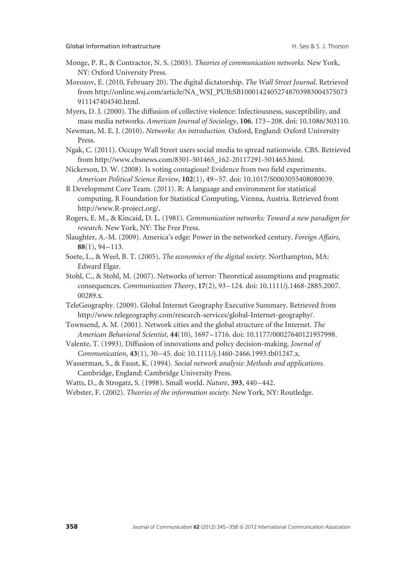- Monge, P. R., & Contractor, N. S. (2003). *Theories of communication networks.* New York, NY: Oxford University Press.
- Morozov, E. (2010, February 20). The digital dictatorship. *The Wall Street Journal*. Retrieved from http://online.wsj.com/article/NA\_WSJ\_PUB:SB10001424052748703983004575073 911147404540.html.
- Myers, D. J. (2000). The diffusion of collective violence: Infectiousness, susceptibility, and mass media networks. *American Journal of Sociology*, **106**, 173–208. doi: 10.1086/303110.
- Newman, M. E. J. (2010). *Networks: An introduction.* Oxford, England: Oxford University Press.
- Ngak, C. (2011). Occupy Wall Street users social media to spread nationwide. CBS. Retrieved from http://www.cbsnews.com/8301-501465\_162-20117291-501465.html.
- Nickerson, D. W. (2008). Is voting contagious? Evidence from two field experiments. *American Political Science Review*, **102**(1), 49–57. doi: 10.1017/S0003055408080039.
- R Development Core Team. (2011). R: A language and environment for statistical computing. R Foundation for Statistical Computing, Vienna, Austria. Retrieved from http://www.R-project.org/.
- Rogers, E. M., & Kincaid, D. L. (1981). *Communication networks: Toward a new paradigm for research.* New York, NY: The Free Press.
- Slaughter, A.-M. (2009). America's edge: Power in the networked century. *Foreign Affairs*, **88**(1), 94–113.
- Soete, L., & Weel, B. T. (2005). *The economics of the digital society.* Northampton, MA: Edward Elgar.
- Stohl, C., & Stohl, M. (2007). Networks of terror: Theoretical assumptions and pragmatic consequences. *Communication Theory*, **17**(2), 93–124. doi: 10.1111/j.1468-2885.2007. 00289.x.
- TeleGeography. (2009). Global Internet Geography Executive Summary. Retrieved from http://www.telegeography.com/research-services/global-Internet-geography/.
- Townsend, A. M. (2001). Network cities and the global structure of the Internet. *The American Behavioral Scientist*, **44**(10), 1697–1716. doi: 10.1177/00027640121957998.
- Valente, T. (1993). Diffusion of innovations and policy decision-making. *Journal of Communication*, **43**(1), 30–45. doi: 10.1111/j.1460-2466.1993.tb01247.x.
- Wasserman, S., & Faust, K. (1994). *Social network analysis: Methods and applications.* Cambridge, England: Cambridge University Press.
- Watts, D., & Strogatz, S. (1998). Small world. *Nature*, **393**, 440–442.
- Webster, F. (2002). *Theories of the information society.* New York, NY: Routledge.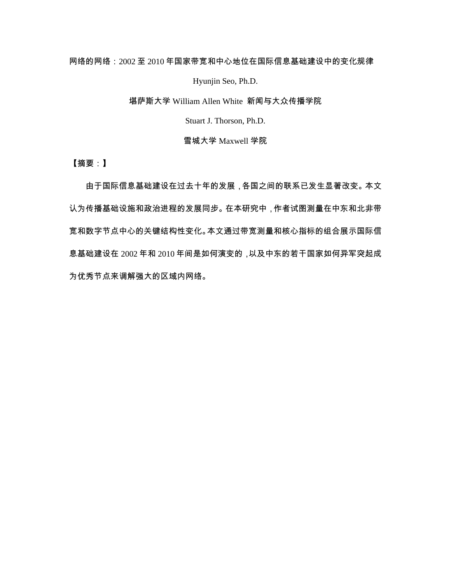网络的网络:2002 至 2010 年国家带宽和中心地位在国际信息基础建设中的变化规律

Hyunjin Seo, Ph.D.

堪萨斯大学 William Allen White 新闻与大众传播学院

Stuart J. Thorson, Ph.D.

## 雪城大学 Maxwell 学院

【摘要:】

由于国际信息基础建设在过去十年的发展,各国之间的联系已发生显著改变。本文 认为传播基础设施和政治进程的发展同步。在本研究中,作者试图测量在中东和北非带 宽和数字节点中心的关键结构性变化。本文通过带宽测量和核心指标的组合展示国际信 息基础建设在 2002 年和 2010 年间是如何演变的,以及中东的若干国家如何异军突起成 为优秀节点来调解强大的区域内网络。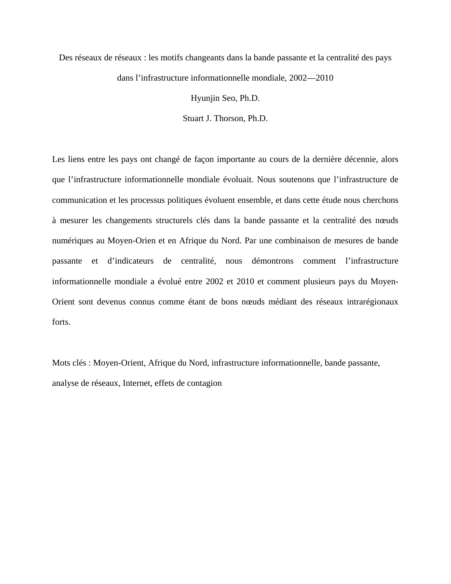Des réseaux de réseaux : les motifs changeants dans la bande passante et la centralité des pays

dans l'infrastructure informationnelle mondiale, 2002—2010

Hyunjin Seo, Ph.D.

Stuart J. Thorson, Ph.D.

Les liens entre les pays ont changé de façon importante au cours de la dernière décennie, alors que l'infrastructure informationnelle mondiale évoluait. Nous soutenons que l'infrastructure de communication et les processus politiques évoluent ensemble, et dans cette étude nous cherchons à mesurer les changements structurels clés dans la bande passante et la centralité des nœuds numériques au Moyen-Orien et en Afrique du Nord. Par une combinaison de mesures de bande passante et d'indicateurs de centralité, nous démontrons comment l'infrastructure informationnelle mondiale a évolué entre 2002 et 2010 et comment plusieurs pays du Moyen-Orient sont devenus connus comme étant de bons nœuds médiant des réseaux intrarégionaux forts.

Mots clés : Moyen-Orient, Afrique du Nord, infrastructure informationnelle, bande passante, analyse de réseaux, Internet, effets de contagion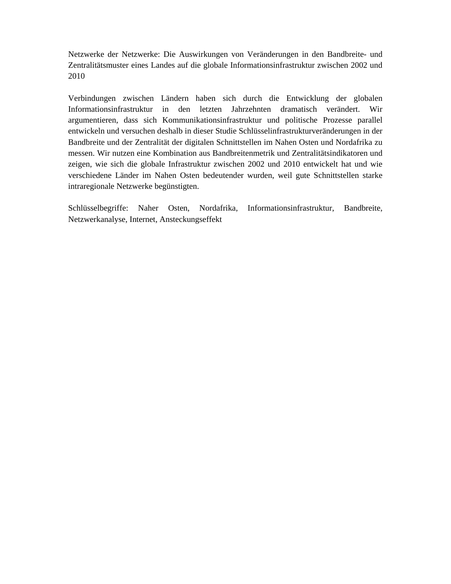Netzwerke der Netzwerke: Die Auswirkungen von Veränderungen in den Bandbreite- und Zentralitätsmuster eines Landes auf die globale Informationsinfrastruktur zwischen 2002 und 2010

Verbindungen zwischen Ländern haben sich durch die Entwicklung der globalen Informationsinfrastruktur in den letzten Jahrzehnten dramatisch verändert. Wir argumentieren, dass sich Kommunikationsinfrastruktur und politische Prozesse parallel entwickeln und versuchen deshalb in dieser Studie Schlüsselinfrastrukturveränderungen in der Bandbreite und der Zentralität der digitalen Schnittstellen im Nahen Osten und Nordafrika zu messen. Wir nutzen eine Kombination aus Bandbreitenmetrik und Zentralitätsindikatoren und zeigen, wie sich die globale Infrastruktur zwischen 2002 und 2010 entwickelt hat und wie verschiedene Länder im Nahen Osten bedeutender wurden, weil gute Schnittstellen starke intraregionale Netzwerke begünstigten.

Schlüsselbegriffe: Naher Osten, Nordafrika, Informationsinfrastruktur, Bandbreite, Netzwerkanalyse, Internet, Ansteckungseffekt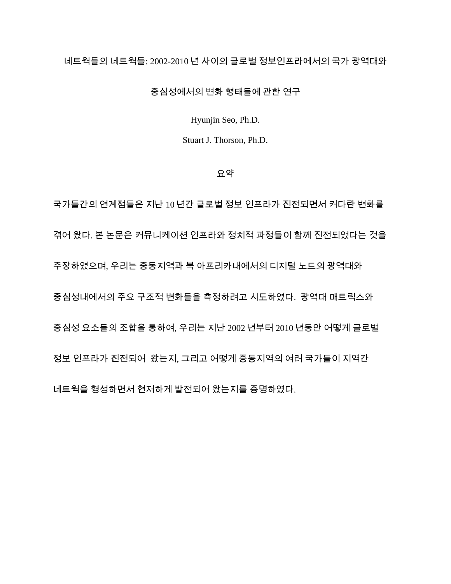## 네트웍들의 네트웍들: 2002-2010 년 사이의 글로벌 정보인프라에서의 국가 광역대와

## 중심성에서의 변화 형태들에 관한 연구

Hyunjin Seo, Ph.D.

Stuart J. Thorson, Ph.D.

## 요약

국가들간의 연계점들은 지난 10 년간 글로벌 정보 인프라가 진전되면서 커다란 변화를 겪어 왔다. 본 논문은 커뮤니케이션 인프라와 정치적 과정들이 함께 진전되었다는 것을 주장하였으며, 우리는 중동지역과 북 아프리카내에서의 디지털 노드의 광역대와 중심성내에서의 주요 구조적 변화들을 측정하려고 시도하였다. 광역대 매트릭스와 중심성 요소들의 조합을 통하여, 우리는 지난 2002 년부터 2010 년동안 어떻게 글로벌 정보 인프라가 진전되어 왔는지, 그리고 어떻게 중동지역의 여러 국가들이 지역간 네트웍을 형성하면서 현저하게 발전되어 왔는지를 증명하였다.